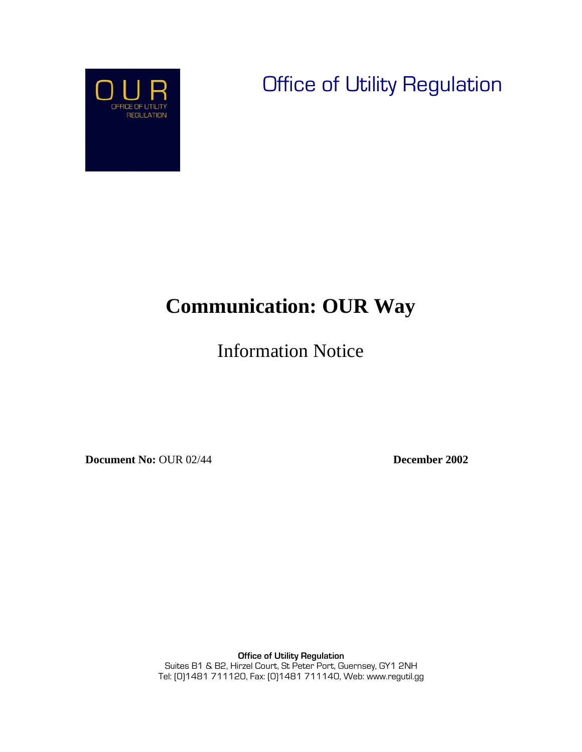Office of Utility Regulation



 $\overline{\phantom{a}}$ 

# **Communication: OUR Way**

Information Notice

**Document No:** OUR 02/44 **December 2002** 

**Office of Utility Regulation** Suites B1 & B2, Hirzel Court, St Peter Port, Guernsey, GY1 2NH Tel: (0)1481 711120, Fax: (0)1481 711140, Web: www.regutil.gg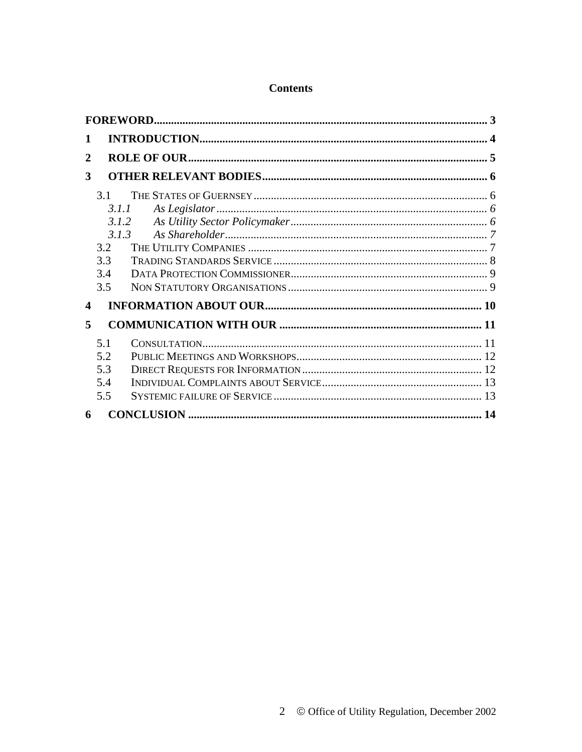### **Contents**

| 1                |                                                            |  |  |  |
|------------------|------------------------------------------------------------|--|--|--|
| 2                |                                                            |  |  |  |
| 3                |                                                            |  |  |  |
|                  | 3.1<br>3.1.1<br>3.1.2<br>3.1.3<br>3.2<br>3.3<br>3.4<br>3.5 |  |  |  |
| $\boldsymbol{4}$ |                                                            |  |  |  |
| 5                |                                                            |  |  |  |
|                  | 5.1<br>5.2<br>5.3<br>5.4<br>5.5                            |  |  |  |
| 6                |                                                            |  |  |  |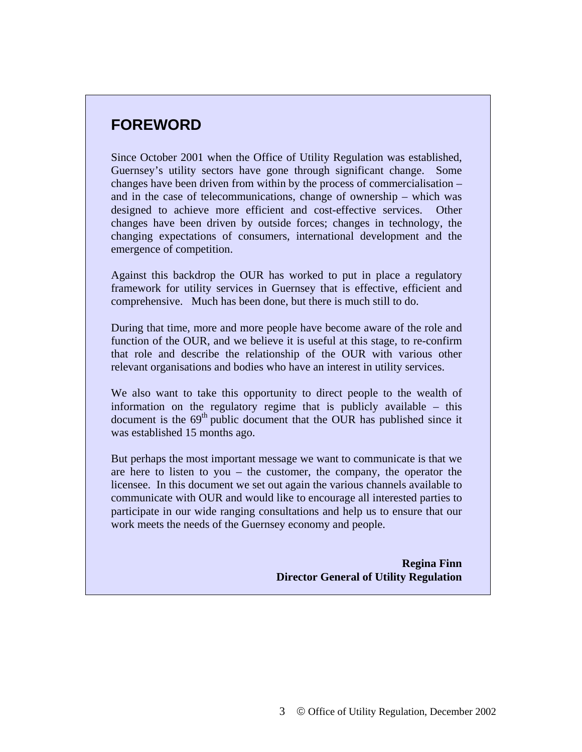# **FOREWORD**

Since October 2001 when the Office of Utility Regulation was established, Guernsey's utility sectors have gone through significant change. Some changes have been driven from within by the process of commercialisation – and in the case of telecommunications, change of ownership – which was designed to achieve more efficient and cost-effective services. Other changes have been driven by outside forces; changes in technology, the changing expectations of consumers, international development and the emergence of competition.

Against this backdrop the OUR has worked to put in place a regulatory framework for utility services in Guernsey that is effective, efficient and comprehensive. Much has been done, but there is much still to do.

During that time, more and more people have become aware of the role and function of the OUR, and we believe it is useful at this stage, to re-confirm that role and describe the relationship of the OUR with various other relevant organisations and bodies who have an interest in utility services.

We also want to take this opportunity to direct people to the wealth of information on the regulatory regime that is publicly available – this document is the  $69<sup>th</sup>$  public document that the OUR has published since it was established 15 months ago.

But perhaps the most important message we want to communicate is that we are here to listen to you – the customer, the company, the operator the licensee. In this document we set out again the various channels available to communicate with OUR and would like to encourage all interested parties to participate in our wide ranging consultations and help us to ensure that our work meets the needs of the Guernsey economy and people.

> **Regina Finn Director General of Utility Regulation**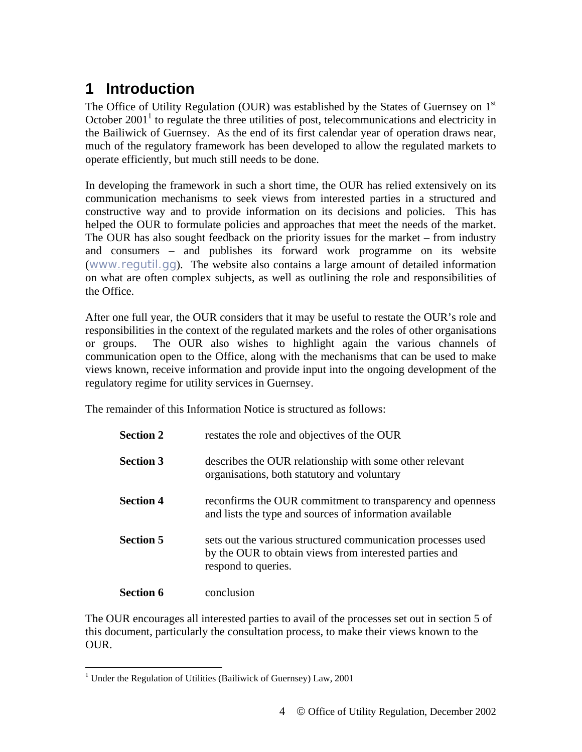# **1 Introduction**

The Office of Utility Regulation (OUR) was established by the States of Guernsey on  $1<sup>st</sup>$ October  $2001<sup>1</sup>$  to regulate the three utilities of post, telecommunications and electricity in the Bailiwick of Guernsey. As the end of its first calendar year of operation draws near, much of the regulatory framework has been developed to allow the regulated markets to operate efficiently, but much still needs to be done.

In developing the framework in such a short time, the OUR has relied extensively on its communication mechanisms to seek views from interested parties in a structured and constructive way and to provide information on its decisions and policies. This has helped the OUR to formulate policies and approaches that meet the needs of the market. The OUR has also sought feedback on the priority issues for the market – from industry and consumers – and publishes its forward work programme on its website (www.regutil.gg). The website also contains a large amount of detailed information on what are often complex subjects, as well as outlining the role and responsibilities of the Office.

After one full year, the OUR considers that it may be useful to restate the OUR's role and responsibilities in the context of the regulated markets and the roles of other organisations or groups. The OUR also wishes to highlight again the various channels of communication open to the Office, along with the mechanisms that can be used to make views known, receive information and provide input into the ongoing development of the regulatory regime for utility services in Guernsey.

The remainder of this Information Notice is structured as follows:

| <b>Section 2</b> | restates the role and objectives of the OUR                                                                                                   |
|------------------|-----------------------------------------------------------------------------------------------------------------------------------------------|
| <b>Section 3</b> | describes the OUR relationship with some other relevant<br>organisations, both statutory and voluntary                                        |
| <b>Section 4</b> | reconfirms the OUR commitment to transparency and openness<br>and lists the type and sources of information available                         |
| <b>Section 5</b> | sets out the various structured communication processes used<br>by the OUR to obtain views from interested parties and<br>respond to queries. |
| <b>Section 6</b> | conclusion                                                                                                                                    |

The OUR encourages all interested parties to avail of the processes set out in section 5 of this document, particularly the consultation process, to make their views known to the OUR.

<sup>&</sup>lt;sup>1</sup> Under the Regulation of Utilities (Bailiwick of Guernsey) Law, 2001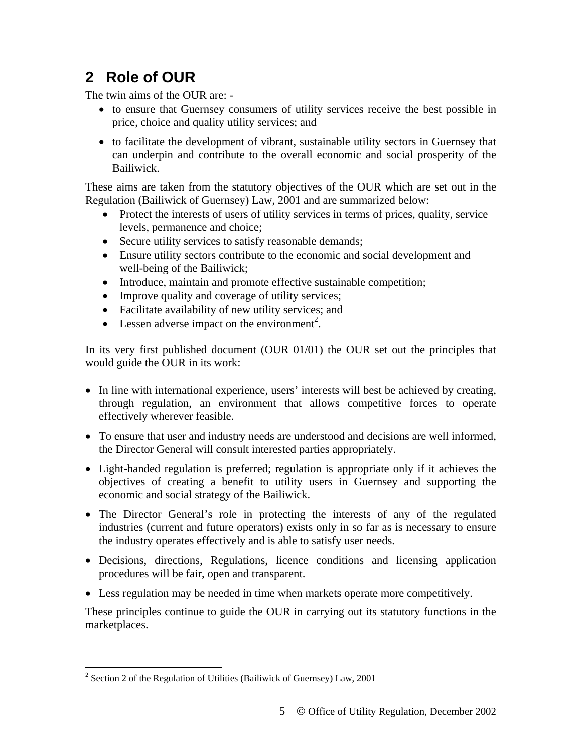# **2 Role of OUR**

The twin aims of the OUR are: -

- to ensure that Guernsey consumers of utility services receive the best possible in price, choice and quality utility services; and
- to facilitate the development of vibrant, sustainable utility sectors in Guernsey that can underpin and contribute to the overall economic and social prosperity of the Bailiwick.

These aims are taken from the statutory objectives of the OUR which are set out in the Regulation (Bailiwick of Guernsey) Law, 2001 and are summarized below:

- Protect the interests of users of utility services in terms of prices, quality, service levels, permanence and choice;
- Secure utility services to satisfy reasonable demands;
- Ensure utility sectors contribute to the economic and social development and well-being of the Bailiwick;
- Introduce, maintain and promote effective sustainable competition;
- Improve quality and coverage of utility services;
- Facilitate availability of new utility services; and
- Lessen adverse impact on the environment<sup>2</sup>.

In its very first published document (OUR 01/01) the OUR set out the principles that would guide the OUR in its work:

- In line with international experience, users' interests will best be achieved by creating, through regulation, an environment that allows competitive forces to operate effectively wherever feasible.
- To ensure that user and industry needs are understood and decisions are well informed, the Director General will consult interested parties appropriately.
- Light-handed regulation is preferred; regulation is appropriate only if it achieves the objectives of creating a benefit to utility users in Guernsey and supporting the economic and social strategy of the Bailiwick.
- The Director General's role in protecting the interests of any of the regulated industries (current and future operators) exists only in so far as is necessary to ensure the industry operates effectively and is able to satisfy user needs.
- Decisions, directions, Regulations, licence conditions and licensing application procedures will be fair, open and transparent.
- Less regulation may be needed in time when markets operate more competitively.

These principles continue to guide the OUR in carrying out its statutory functions in the marketplaces.

<sup>&</sup>lt;sup>2</sup> Section 2 of the Regulation of Utilities (Bailiwick of Guernsey) Law, 2001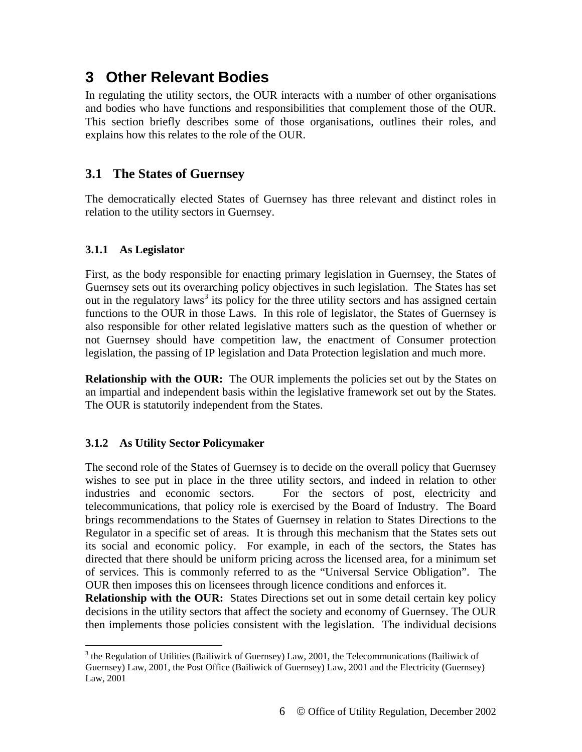# **3 Other Relevant Bodies**

In regulating the utility sectors, the OUR interacts with a number of other organisations and bodies who have functions and responsibilities that complement those of the OUR. This section briefly describes some of those organisations, outlines their roles, and explains how this relates to the role of the OUR.

### **3.1 The States of Guernsey**

The democratically elected States of Guernsey has three relevant and distinct roles in relation to the utility sectors in Guernsey.

#### **3.1.1 As Legislator**

 $\overline{a}$ 

First, as the body responsible for enacting primary legislation in Guernsey, the States of Guernsey sets out its overarching policy objectives in such legislation. The States has set out in the regulatory laws<sup>3</sup> its policy for the three utility sectors and has assigned certain functions to the OUR in those Laws. In this role of legislator, the States of Guernsey is also responsible for other related legislative matters such as the question of whether or not Guernsey should have competition law, the enactment of Consumer protection legislation, the passing of IP legislation and Data Protection legislation and much more.

**Relationship with the OUR:** The OUR implements the policies set out by the States on an impartial and independent basis within the legislative framework set out by the States. The OUR is statutorily independent from the States.

#### **3.1.2 As Utility Sector Policymaker**

The second role of the States of Guernsey is to decide on the overall policy that Guernsey wishes to see put in place in the three utility sectors, and indeed in relation to other industries and economic sectors. For the sectors of post, electricity and telecommunications, that policy role is exercised by the Board of Industry. The Board brings recommendations to the States of Guernsey in relation to States Directions to the Regulator in a specific set of areas. It is through this mechanism that the States sets out its social and economic policy. For example, in each of the sectors, the States has directed that there should be uniform pricing across the licensed area, for a minimum set of services. This is commonly referred to as the "Universal Service Obligation". The OUR then imposes this on licensees through licence conditions and enforces it.

**Relationship with the OUR:** States Directions set out in some detail certain key policy decisions in the utility sectors that affect the society and economy of Guernsey. The OUR then implements those policies consistent with the legislation. The individual decisions

<sup>&</sup>lt;sup>3</sup> the Regulation of Utilities (Bailiwick of Guernsey) Law, 2001, the Telecommunications (Bailiwick of Guernsey) Law, 2001, the Post Office (Bailiwick of Guernsey) Law, 2001 and the Electricity (Guernsey) Law, 2001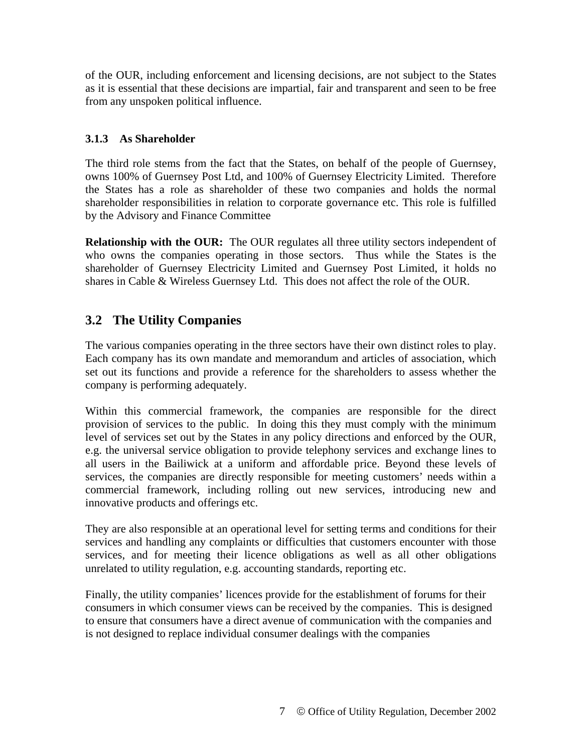of the OUR, including enforcement and licensing decisions, are not subject to the States as it is essential that these decisions are impartial, fair and transparent and seen to be free from any unspoken political influence.

#### **3.1.3 As Shareholder**

The third role stems from the fact that the States, on behalf of the people of Guernsey, owns 100% of Guernsey Post Ltd, and 100% of Guernsey Electricity Limited. Therefore the States has a role as shareholder of these two companies and holds the normal shareholder responsibilities in relation to corporate governance etc. This role is fulfilled by the Advisory and Finance Committee

**Relationship with the OUR:** The OUR regulates all three utility sectors independent of who owns the companies operating in those sectors. Thus while the States is the shareholder of Guernsey Electricity Limited and Guernsey Post Limited, it holds no shares in Cable & Wireless Guernsey Ltd. This does not affect the role of the OUR.

# **3.2 The Utility Companies**

The various companies operating in the three sectors have their own distinct roles to play. Each company has its own mandate and memorandum and articles of association, which set out its functions and provide a reference for the shareholders to assess whether the company is performing adequately.

Within this commercial framework, the companies are responsible for the direct provision of services to the public. In doing this they must comply with the minimum level of services set out by the States in any policy directions and enforced by the OUR, e.g. the universal service obligation to provide telephony services and exchange lines to all users in the Bailiwick at a uniform and affordable price. Beyond these levels of services, the companies are directly responsible for meeting customers' needs within a commercial framework, including rolling out new services, introducing new and innovative products and offerings etc.

They are also responsible at an operational level for setting terms and conditions for their services and handling any complaints or difficulties that customers encounter with those services, and for meeting their licence obligations as well as all other obligations unrelated to utility regulation, e.g. accounting standards, reporting etc.

Finally, the utility companies' licences provide for the establishment of forums for their consumers in which consumer views can be received by the companies. This is designed to ensure that consumers have a direct avenue of communication with the companies and is not designed to replace individual consumer dealings with the companies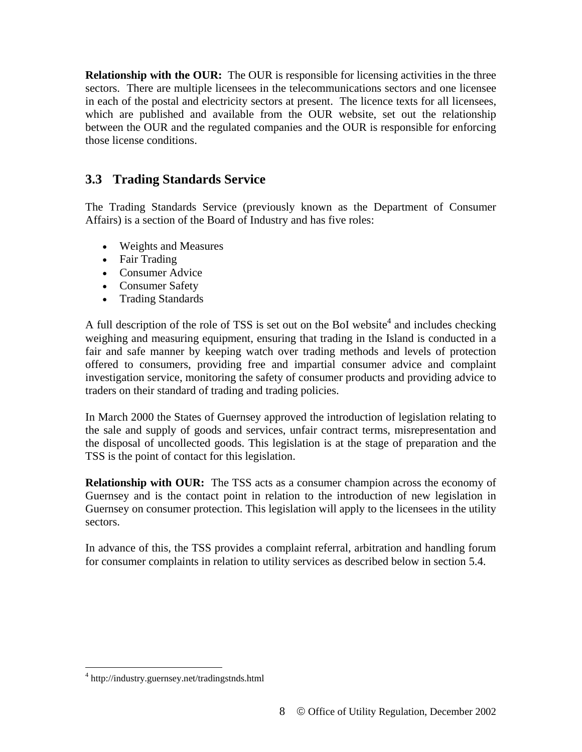**Relationship with the OUR:** The OUR is responsible for licensing activities in the three sectors. There are multiple licensees in the telecommunications sectors and one licensee in each of the postal and electricity sectors at present. The licence texts for all licensees, which are published and available from the OUR website, set out the relationship between the OUR and the regulated companies and the OUR is responsible for enforcing those license conditions.

# **3.3 Trading Standards Service**

The Trading Standards Service (previously known as the Department of Consumer Affairs) is a section of the Board of Industry and has five roles:

- Weights and Measures
- Fair Trading
- Consumer Advice
- Consumer Safety
- Trading Standards

A full description of the role of TSS is set out on the BoI website<sup>4</sup> and includes checking weighing and measuring equipment, ensuring that trading in the Island is conducted in a fair and safe manner by keeping watch over trading methods and levels of protection offered to consumers, providing free and impartial consumer advice and complaint investigation service, monitoring the safety of consumer products and providing advice to traders on their standard of trading and trading policies.

In March 2000 the States of Guernsey approved the introduction of legislation relating to the sale and supply of goods and services, unfair contract terms, misrepresentation and the disposal of uncollected goods. This legislation is at the stage of preparation and the TSS is the point of contact for this legislation.

**Relationship with OUR:** The TSS acts as a consumer champion across the economy of Guernsey and is the contact point in relation to the introduction of new legislation in Guernsey on consumer protection. This legislation will apply to the licensees in the utility sectors.

In advance of this, the TSS provides a complaint referral, arbitration and handling forum for consumer complaints in relation to utility services as described below in section 5.4.

<sup>4</sup> http://industry.guernsey.net/tradingstnds.html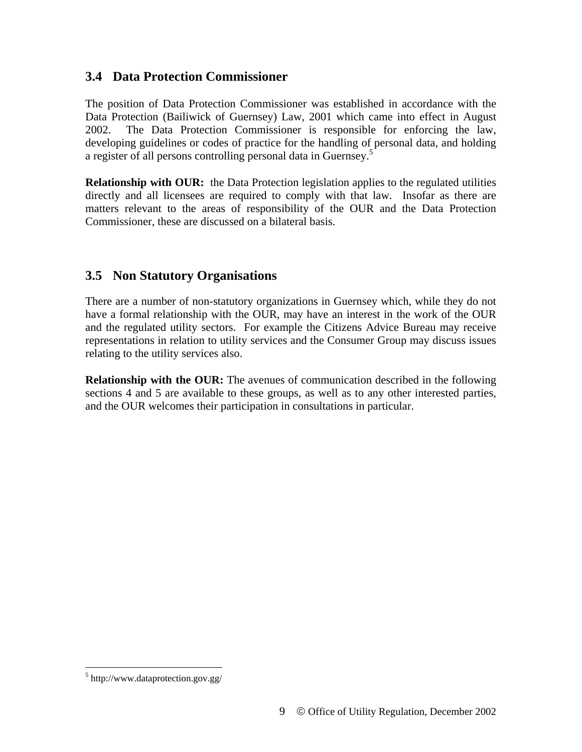#### **3.4 Data Protection Commissioner**

The position of Data Protection Commissioner was established in accordance with the Data Protection (Bailiwick of Guernsey) Law, 2001 which came into effect in August 2002. The Data Protection Commissioner is responsible for enforcing the law, developing guidelines or codes of practice for the handling of personal data, and holding a register of all persons controlling personal data in Guernsey.<sup>5</sup>

**Relationship with OUR:** the Data Protection legislation applies to the regulated utilities directly and all licensees are required to comply with that law. Insofar as there are matters relevant to the areas of responsibility of the OUR and the Data Protection Commissioner, these are discussed on a bilateral basis.

## **3.5 Non Statutory Organisations**

There are a number of non-statutory organizations in Guernsey which, while they do not have a formal relationship with the OUR, may have an interest in the work of the OUR and the regulated utility sectors. For example the Citizens Advice Bureau may receive representations in relation to utility services and the Consumer Group may discuss issues relating to the utility services also.

**Relationship with the OUR:** The avenues of communication described in the following sections 4 and 5 are available to these groups, as well as to any other interested parties, and the OUR welcomes their participation in consultations in particular.

<sup>5</sup> http://www.dataprotection.gov.gg/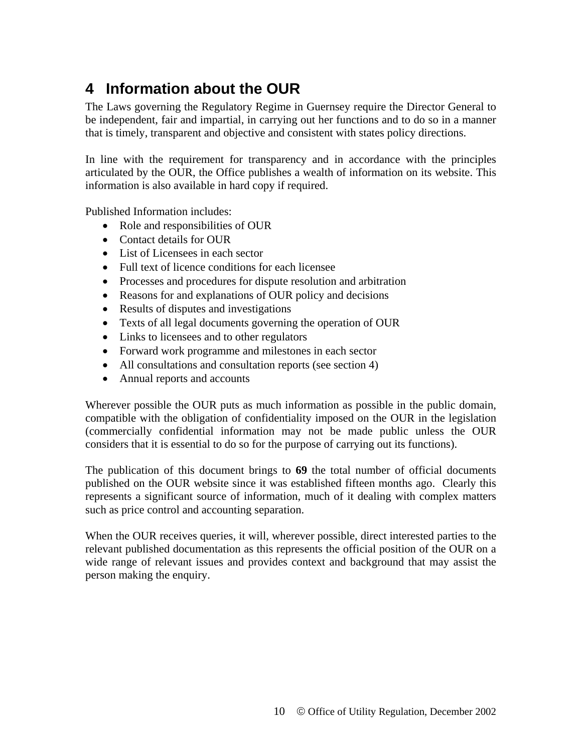# **4 Information about the OUR**

The Laws governing the Regulatory Regime in Guernsey require the Director General to be independent, fair and impartial, in carrying out her functions and to do so in a manner that is timely, transparent and objective and consistent with states policy directions.

In line with the requirement for transparency and in accordance with the principles articulated by the OUR, the Office publishes a wealth of information on its website. This information is also available in hard copy if required.

Published Information includes:

- Role and responsibilities of OUR
- Contact details for OUR
- List of Licensees in each sector
- Full text of licence conditions for each licensee
- Processes and procedures for dispute resolution and arbitration
- Reasons for and explanations of OUR policy and decisions
- Results of disputes and investigations
- Texts of all legal documents governing the operation of OUR
- Links to licensees and to other regulators
- Forward work programme and milestones in each sector
- All consultations and consultation reports (see section 4)
- Annual reports and accounts

Wherever possible the OUR puts as much information as possible in the public domain, compatible with the obligation of confidentiality imposed on the OUR in the legislation (commercially confidential information may not be made public unless the OUR considers that it is essential to do so for the purpose of carrying out its functions).

The publication of this document brings to **69** the total number of official documents published on the OUR website since it was established fifteen months ago. Clearly this represents a significant source of information, much of it dealing with complex matters such as price control and accounting separation.

When the OUR receives queries, it will, wherever possible, direct interested parties to the relevant published documentation as this represents the official position of the OUR on a wide range of relevant issues and provides context and background that may assist the person making the enquiry.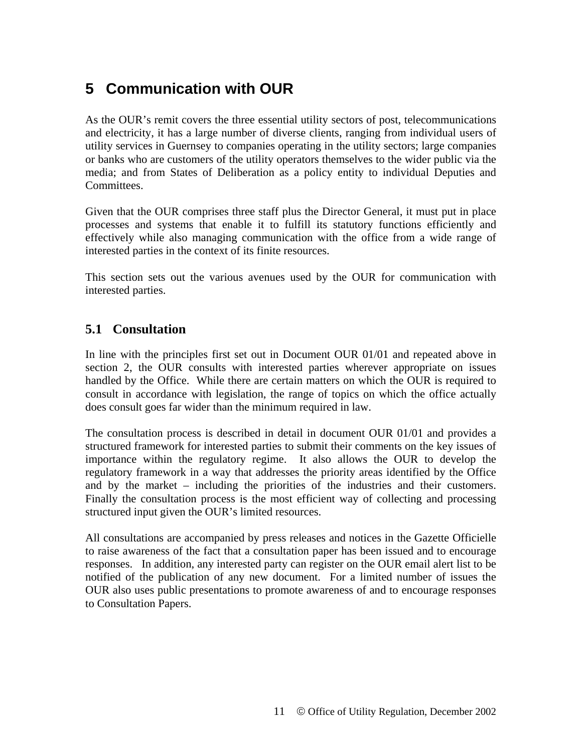# **5 Communication with OUR**

As the OUR's remit covers the three essential utility sectors of post, telecommunications and electricity, it has a large number of diverse clients, ranging from individual users of utility services in Guernsey to companies operating in the utility sectors; large companies or banks who are customers of the utility operators themselves to the wider public via the media; and from States of Deliberation as a policy entity to individual Deputies and Committees.

Given that the OUR comprises three staff plus the Director General, it must put in place processes and systems that enable it to fulfill its statutory functions efficiently and effectively while also managing communication with the office from a wide range of interested parties in the context of its finite resources.

This section sets out the various avenues used by the OUR for communication with interested parties.

### **5.1 Consultation**

In line with the principles first set out in Document OUR 01/01 and repeated above in section 2, the OUR consults with interested parties wherever appropriate on issues handled by the Office. While there are certain matters on which the OUR is required to consult in accordance with legislation, the range of topics on which the office actually does consult goes far wider than the minimum required in law.

The consultation process is described in detail in document OUR 01/01 and provides a structured framework for interested parties to submit their comments on the key issues of importance within the regulatory regime. It also allows the OUR to develop the regulatory framework in a way that addresses the priority areas identified by the Office and by the market – including the priorities of the industries and their customers. Finally the consultation process is the most efficient way of collecting and processing structured input given the OUR's limited resources.

All consultations are accompanied by press releases and notices in the Gazette Officielle to raise awareness of the fact that a consultation paper has been issued and to encourage responses. In addition, any interested party can register on the OUR email alert list to be notified of the publication of any new document. For a limited number of issues the OUR also uses public presentations to promote awareness of and to encourage responses to Consultation Papers.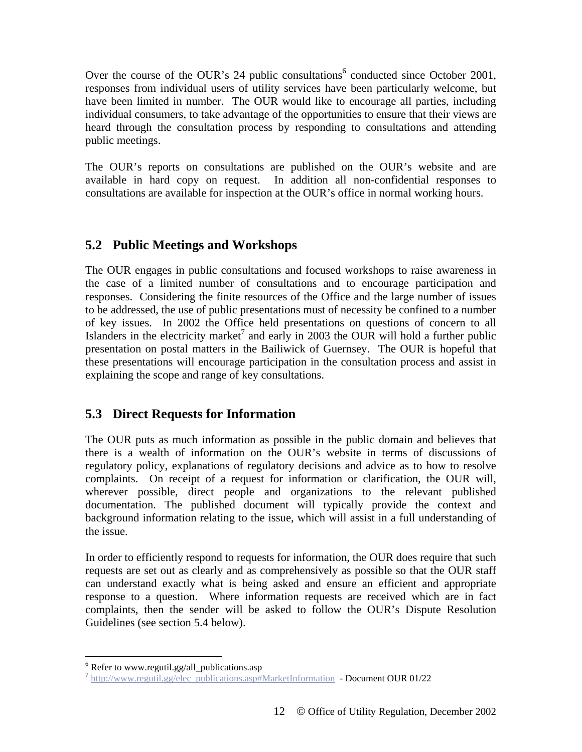Over the course of the OUR's  $24$  public consultations<sup>6</sup> conducted since October 2001, responses from individual users of utility services have been particularly welcome, but have been limited in number. The OUR would like to encourage all parties, including individual consumers, to take advantage of the opportunities to ensure that their views are heard through the consultation process by responding to consultations and attending public meetings.

The OUR's reports on consultations are published on the OUR's website and are available in hard copy on request. In addition all non-confidential responses to consultations are available for inspection at the OUR's office in normal working hours.

## **5.2 Public Meetings and Workshops**

The OUR engages in public consultations and focused workshops to raise awareness in the case of a limited number of consultations and to encourage participation and responses. Considering the finite resources of the Office and the large number of issues to be addressed, the use of public presentations must of necessity be confined to a number of key issues. In 2002 the Office held presentations on questions of concern to all Islanders in the electricity market<sup>7</sup> and early in 2003 the OUR will hold a further public presentation on postal matters in the Bailiwick of Guernsey. The OUR is hopeful that these presentations will encourage participation in the consultation process and assist in explaining the scope and range of key consultations.

### **5.3 Direct Requests for Information**

The OUR puts as much information as possible in the public domain and believes that there is a wealth of information on the OUR's website in terms of discussions of regulatory policy, explanations of regulatory decisions and advice as to how to resolve complaints. On receipt of a request for information or clarification, the OUR will, wherever possible, direct people and organizations to the relevant published documentation. The published document will typically provide the context and background information relating to the issue, which will assist in a full understanding of the issue.

In order to efficiently respond to requests for information, the OUR does require that such requests are set out as clearly and as comprehensively as possible so that the OUR staff can understand exactly what is being asked and ensure an efficient and appropriate response to a question. Where information requests are received which are in fact complaints, then the sender will be asked to follow the OUR's Dispute Resolution Guidelines (see section 5.4 below).

<sup>&</sup>lt;sup>6</sup> Refer to www.regutil.gg/all\_publications.asp

 $h$ ttp://www.regutil.gg/elec\_publications.asp#MarketInformation - Document OUR 01/22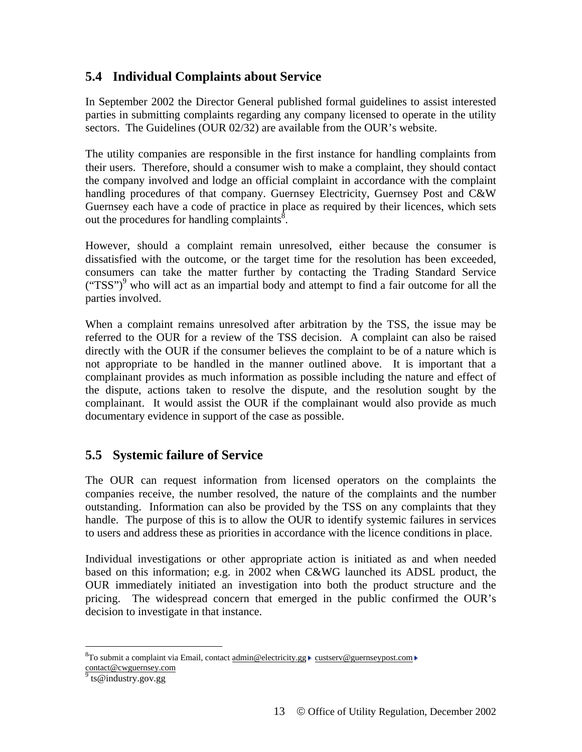### **5.4 Individual Complaints about Service**

In September 2002 the Director General published formal guidelines to assist interested parties in submitting complaints regarding any company licensed to operate in the utility sectors. The Guidelines (OUR 02/32) are available from the OUR's website.

The utility companies are responsible in the first instance for handling complaints from their users. Therefore, should a consumer wish to make a complaint, they should contact the company involved and lodge an official complaint in accordance with the complaint handling procedures of that company. Guernsey Electricity, Guernsey Post and C&W Guernsey each have a code of practice in place as required by their licences, which sets out the procedures for handling complaints $\delta$ .

However, should a complaint remain unresolved, either because the consumer is dissatisfied with the outcome, or the target time for the resolution has been exceeded, consumers can take the matter further by contacting the Trading Standard Service ("TSS")<sup>9</sup> who will act as an impartial body and attempt to find a fair outcome for all the parties involved.

When a complaint remains unresolved after arbitration by the TSS, the issue may be referred to the OUR for a review of the TSS decision. A complaint can also be raised directly with the OUR if the consumer believes the complaint to be of a nature which is not appropriate to be handled in the manner outlined above. It is important that a complainant provides as much information as possible including the nature and effect of the dispute, actions taken to resolve the dispute, and the resolution sought by the complainant. It would assist the OUR if the complainant would also provide as much documentary evidence in support of the case as possible.

### **5.5 Systemic failure of Service**

The OUR can request information from licensed operators on the complaints the companies receive, the number resolved, the nature of the complaints and the number outstanding. Information can also be provided by the TSS on any complaints that they handle. The purpose of this is to allow the OUR to identify systemic failures in services to users and address these as priorities in accordance with the licence conditions in place.

Individual investigations or other appropriate action is initiated as and when needed based on this information; e.g. in 2002 when C&WG launched its ADSL product, the OUR immediately initiated an investigation into both the product structure and the pricing. The widespread concern that emerged in the public confirmed the OUR's decision to investigate in that instance.

<sup>&</sup>lt;sup>8</sup>To submit a complaint via Email, contact  $\underline{admin@electricity.gg}$  custserv@guernseypost.com contact@cwguernsey.com<br><sup>9</sup> ts@industry.gov.gg